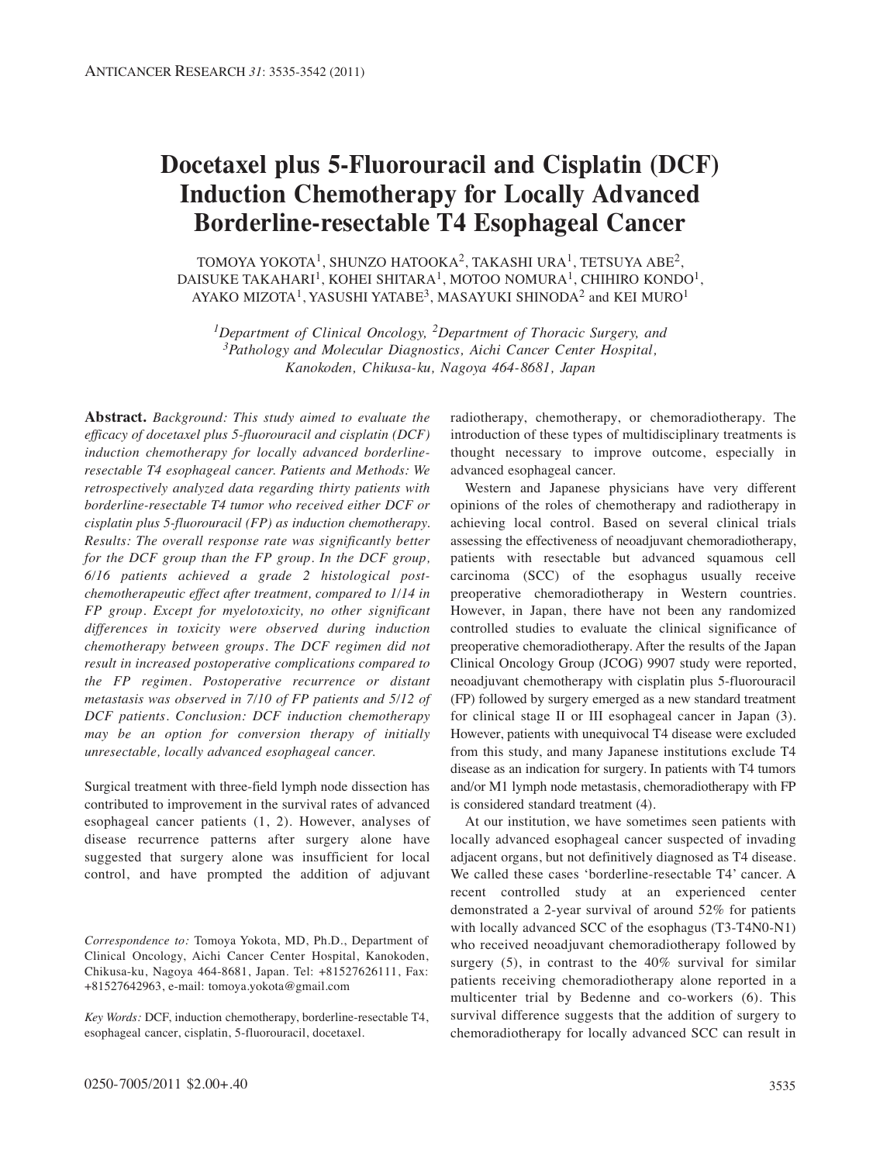# **Docetaxel plus 5-Fluorouracil and Cisplatin (DCF) Induction Chemotherapy for Locally Advanced Borderline-resectable T4 Esophageal Cancer**

TOMOYA YOKOTA<sup>1</sup>, SHUNZO HATOOKA<sup>2</sup>, TAKASHI URA<sup>1</sup>, TETSUYA ABE<sup>2</sup>, DAISUKE TAKAHARI<sup>1</sup>, KOHEI SHITARA<sup>1</sup>, MOTOO NOMURA<sup>1</sup>, CHIHIRO KONDO<sup>1</sup>, AYAKO MIZOTA<sup>1</sup>, YASUSHI YATABE<sup>3</sup>, MASAYUKI SHINODA<sup>2</sup> and KEI MURO<sup>1</sup>

*1Department of Clinical Oncology, 2Department of Thoracic Surgery, and 3Pathology and Molecular Diagnostics, Aichi Cancer Center Hospital, Kanokoden, Chikusa-ku, Nagoya 464-8681, Japan*

**Abstract.** *Background: This study aimed to evaluate the efficacy of docetaxel plus 5-fluorouracil and cisplatin (DCF) induction chemotherapy for locally advanced borderlineresectable T4 esophageal cancer. Patients and Methods: We retrospectively analyzed data regarding thirty patients with borderline-resectable T4 tumor who received either DCF or cisplatin plus 5-fluorouracil (FP) as induction chemotherapy. Results: The overall response rate was significantly better for the DCF group than the FP group. In the DCF group, 6/16 patients achieved a grade 2 histological postchemotherapeutic effect after treatment, compared to 1/14 in FP group. Except for myelotoxicity, no other significant differences in toxicity were observed during induction chemotherapy between groups. The DCF regimen did not result in increased postoperative complications compared to the FP regimen. Postoperative recurrence or distant metastasis was observed in 7/10 of FP patients and 5/12 of DCF patients. Conclusion: DCF induction chemotherapy may be an option for conversion therapy of initially unresectable, locally advanced esophageal cancer.*

Surgical treatment with three-field lymph node dissection has contributed to improvement in the survival rates of advanced esophageal cancer patients (1, 2). However, analyses of disease recurrence patterns after surgery alone have suggested that surgery alone was insufficient for local control, and have prompted the addition of adjuvant

*Correspondence to:* Tomoya Yokota, MD, Ph.D., Department of Clinical Oncology, Aichi Cancer Center Hospital, Kanokoden, Chikusa-ku, Nagoya 464-8681, Japan. Tel: +81527626111, Fax: +81527642963, e-mail: tomoya.yokota@gmail.com

*Key Words:* DCF, induction chemotherapy, borderline-resectable T4, esophageal cancer, cisplatin, 5-fluorouracil, docetaxel.

radiotherapy, chemotherapy, or chemoradiotherapy. The introduction of these types of multidisciplinary treatments is thought necessary to improve outcome, especially in advanced esophageal cancer.

Western and Japanese physicians have very different opinions of the roles of chemotherapy and radiotherapy in achieving local control. Based on several clinical trials assessing the effectiveness of neoadjuvant chemoradiotherapy, patients with resectable but advanced squamous cell carcinoma (SCC) of the esophagus usually receive preoperative chemoradiotherapy in Western countries. However, in Japan, there have not been any randomized controlled studies to evaluate the clinical significance of preoperative chemoradiotherapy. After the results of the Japan Clinical Oncology Group (JCOG) 9907 study were reported, neoadjuvant chemotherapy with cisplatin plus 5-fluorouracil (FP) followed by surgery emerged as a new standard treatment for clinical stage II or III esophageal cancer in Japan (3). However, patients with unequivocal T4 disease were excluded from this study, and many Japanese institutions exclude T4 disease as an indication for surgery. In patients with T4 tumors and/or M1 lymph node metastasis, chemoradiotherapy with FP is considered standard treatment (4).

At our institution, we have sometimes seen patients with locally advanced esophageal cancer suspected of invading adjacent organs, but not definitively diagnosed as T4 disease. We called these cases 'borderline-resectable T4' cancer. A recent controlled study at an experienced center demonstrated a 2-year survival of around 52% for patients with locally advanced SCC of the esophagus (T3-T4N0-N1) who received neoadjuvant chemoradiotherapy followed by surgery (5), in contrast to the 40% survival for similar patients receiving chemoradiotherapy alone reported in a multicenter trial by Bedenne and co-workers (6). This survival difference suggests that the addition of surgery to chemoradiotherapy for locally advanced SCC can result in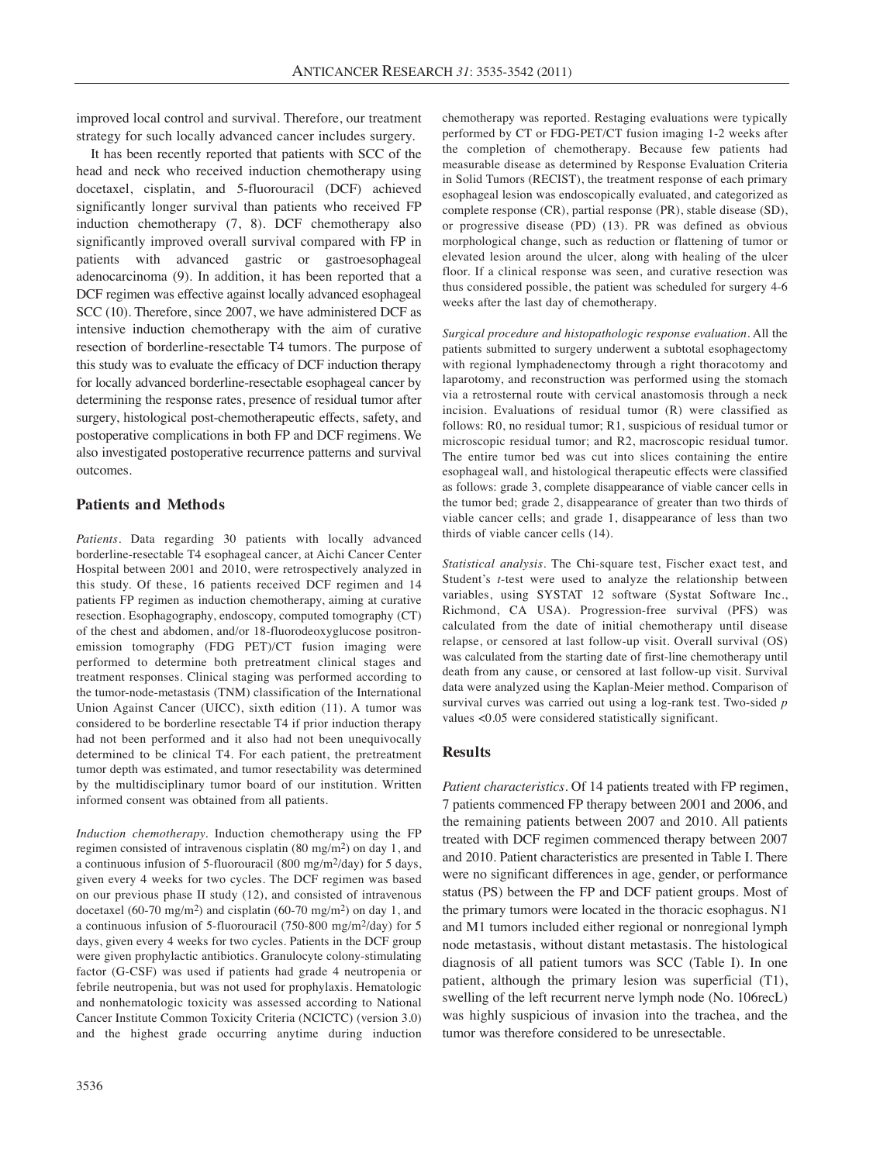improved local control and survival. Therefore, our treatment strategy for such locally advanced cancer includes surgery.

It has been recently reported that patients with SCC of the head and neck who received induction chemotherapy using docetaxel, cisplatin, and 5-fluorouracil (DCF) achieved significantly longer survival than patients who received FP induction chemotherapy (7, 8). DCF chemotherapy also significantly improved overall survival compared with FP in patients with advanced gastric or gastroesophageal adenocarcinoma (9). In addition, it has been reported that a DCF regimen was effective against locally advanced esophageal SCC (10). Therefore, since 2007, we have administered DCF as intensive induction chemotherapy with the aim of curative resection of borderline-resectable T4 tumors. The purpose of this study was to evaluate the efficacy of DCF induction therapy for locally advanced borderline-resectable esophageal cancer by determining the response rates, presence of residual tumor after surgery, histological post-chemotherapeutic effects, safety, and postoperative complications in both FP and DCF regimens. We also investigated postoperative recurrence patterns and survival outcomes.

## **Patients and Methods**

*Patients.* Data regarding 30 patients with locally advanced borderline-resectable T4 esophageal cancer, at Aichi Cancer Center Hospital between 2001 and 2010, were retrospectively analyzed in this study. Of these, 16 patients received DCF regimen and 14 patients FP regimen as induction chemotherapy, aiming at curative resection. Esophagography, endoscopy, computed tomography (CT) of the chest and abdomen, and/or 18-fluorodeoxyglucose positronemission tomography (FDG PET)/CT fusion imaging were performed to determine both pretreatment clinical stages and treatment responses. Clinical staging was performed according to the tumor-node-metastasis (TNM) classification of the International Union Against Cancer (UICC), sixth edition (11). A tumor was considered to be borderline resectable T4 if prior induction therapy had not been performed and it also had not been unequivocally determined to be clinical T4. For each patient, the pretreatment tumor depth was estimated, and tumor resectability was determined by the multidisciplinary tumor board of our institution. Written informed consent was obtained from all patients.

*Induction chemotherapy.* Induction chemotherapy using the FP regimen consisted of intravenous cisplatin (80 mg/m2) on day 1, and a continuous infusion of 5-fluorouracil (800 mg/m2/day) for 5 days, given every 4 weeks for two cycles. The DCF regimen was based on our previous phase II study (12), and consisted of intravenous docetaxel (60-70 mg/m<sup>2</sup>) and cisplatin (60-70 mg/m<sup>2</sup>) on day 1, and a continuous infusion of 5-fluorouracil (750-800 mg/m2/day) for 5 days, given every 4 weeks for two cycles. Patients in the DCF group were given prophylactic antibiotics. Granulocyte colony-stimulating factor (G-CSF) was used if patients had grade 4 neutropenia or febrile neutropenia, but was not used for prophylaxis. Hematologic and nonhematologic toxicity was assessed according to National Cancer Institute Common Toxicity Criteria (NCICTC) (version 3.0) and the highest grade occurring anytime during induction chemotherapy was reported. Restaging evaluations were typically performed by CT or FDG-PET/CT fusion imaging 1-2 weeks after the completion of chemotherapy. Because few patients had measurable disease as determined by Response Evaluation Criteria in Solid Tumors (RECIST), the treatment response of each primary esophageal lesion was endoscopically evaluated, and categorized as complete response (CR), partial response (PR), stable disease (SD), or progressive disease (PD) (13). PR was defined as obvious morphological change, such as reduction or flattening of tumor or elevated lesion around the ulcer, along with healing of the ulcer floor. If a clinical response was seen, and curative resection was thus considered possible, the patient was scheduled for surgery 4-6 weeks after the last day of chemotherapy.

*Surgical procedure and histopathologic response evaluation.* All the patients submitted to surgery underwent a subtotal esophagectomy with regional lymphadenectomy through a right thoracotomy and laparotomy, and reconstruction was performed using the stomach via a retrosternal route with cervical anastomosis through a neck incision. Evaluations of residual tumor (R) were classified as follows: R0, no residual tumor; R1, suspicious of residual tumor or microscopic residual tumor; and R2, macroscopic residual tumor. The entire tumor bed was cut into slices containing the entire esophageal wall, and histological therapeutic effects were classified as follows: grade 3, complete disappearance of viable cancer cells in the tumor bed; grade 2, disappearance of greater than two thirds of viable cancer cells; and grade 1, disappearance of less than two thirds of viable cancer cells (14).

*Statistical analysis.* The Chi-square test, Fischer exact test, and Student's *t*-test were used to analyze the relationship between variables, using SYSTAT 12 software (Systat Software Inc., Richmond, CA USA). Progression-free survival (PFS) was calculated from the date of initial chemotherapy until disease relapse, or censored at last follow-up visit. Overall survival (OS) was calculated from the starting date of first-line chemotherapy until death from any cause, or censored at last follow-up visit. Survival data were analyzed using the Kaplan-Meier method. Comparison of survival curves was carried out using a log-rank test. Two-sided *p* values <0.05 were considered statistically significant.

#### **Results**

*Patient characteristics.* Of 14 patients treated with FP regimen, 7 patients commenced FP therapy between 2001 and 2006, and the remaining patients between 2007 and 2010. All patients treated with DCF regimen commenced therapy between 2007 and 2010. Patient characteristics are presented in Table I. There were no significant differences in age, gender, or performance status (PS) between the FP and DCF patient groups. Most of the primary tumors were located in the thoracic esophagus. N1 and M1 tumors included either regional or nonregional lymph node metastasis, without distant metastasis. The histological diagnosis of all patient tumors was SCC (Table I). In one patient, although the primary lesion was superficial (T1), swelling of the left recurrent nerve lymph node (No. 106recL) was highly suspicious of invasion into the trachea, and the tumor was therefore considered to be unresectable.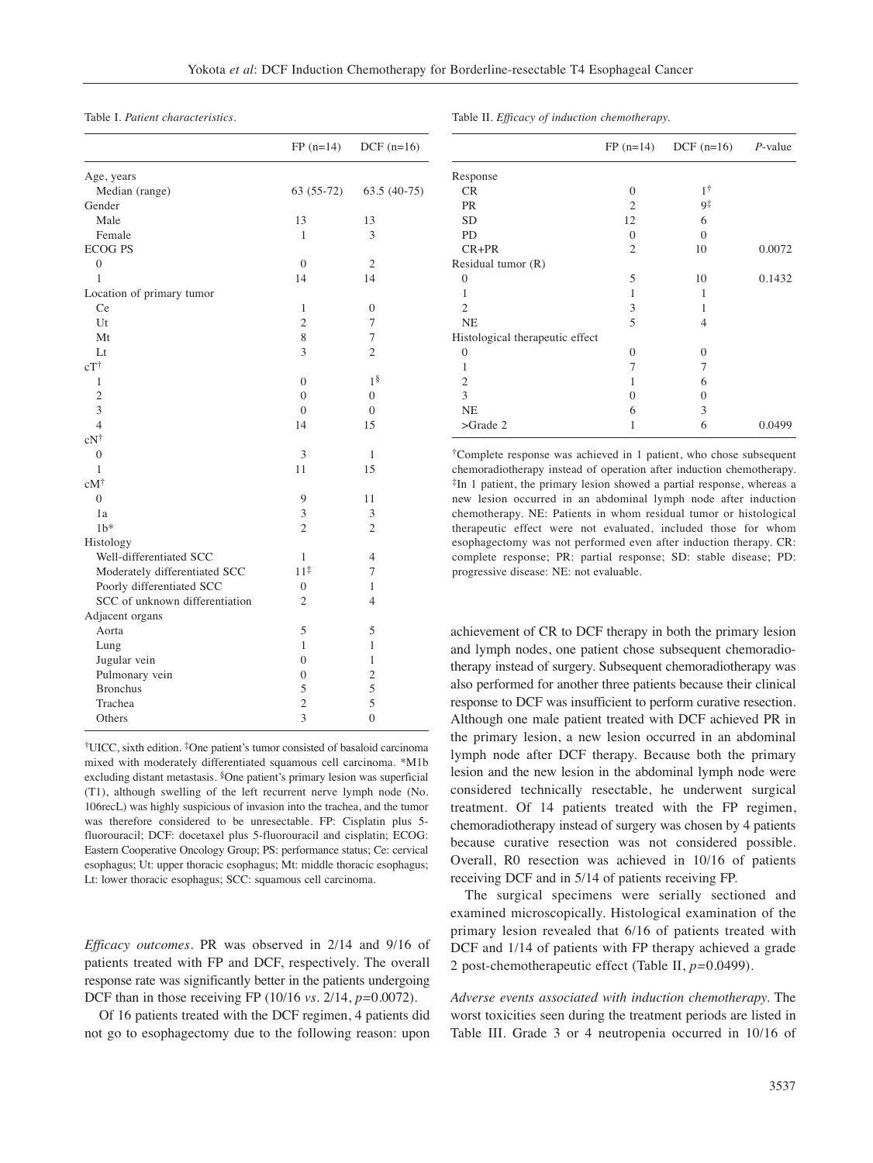Table I. *Patient characteristics.*

|                                | $FP (n=14)$      | DCF $(n=16)$            |
|--------------------------------|------------------|-------------------------|
| Age, years                     |                  |                         |
| Median (range)                 | $63(55-72)$      | 63.5 (40-75)            |
| Gender                         |                  |                         |
| Male                           | 13               | 13                      |
| Female                         | 1                | 3                       |
| <b>ECOG PS</b>                 |                  |                         |
| $\boldsymbol{0}$               | $\boldsymbol{0}$ | $\mathfrak{2}$          |
| 1                              | 14               | 14                      |
| Location of primary tumor      |                  |                         |
| Ce                             | 1                | $\mathbf{0}$            |
| Ut                             | $\overline{c}$   | 7                       |
| Mt                             | 8                | 7                       |
| Lt                             | 3                | $\overline{c}$          |
| $cT^{\dagger}$                 |                  |                         |
| 1                              | $\mathbf{0}$     | 1 <sup>§</sup>          |
| $\overline{c}$                 | $\overline{0}$   | $\overline{0}$          |
| 3                              | $\overline{0}$   | $\overline{0}$          |
| 4                              | 14               | 15                      |
| $cN^\dagger$                   |                  |                         |
| $\overline{0}$                 | 3                | 1                       |
| 1                              | 11               | 15                      |
| $cM^{\dagger}$                 |                  |                         |
| $\overline{0}$                 | 9                | 11                      |
| 1a                             | 3                | 3                       |
| 1 <sup>b</sup>                 | $\overline{2}$   | $\overline{2}$          |
| Histology                      |                  |                         |
| Well-differentiated SCC        | 1                | 4                       |
| Moderately differentiated SCC  | $11^{\ddagger}$  | 7                       |
| Poorly differentiated SCC      | $\overline{0}$   | $\mathbf{1}$            |
| SCC of unknown differentiation | 2                | 4                       |
| Adjacent organs                |                  |                         |
| Aorta                          | 5                | 5                       |
| Lung                           | $\mathbf{1}$     | $\mathbf{1}$            |
| Jugular vein                   | $\mathbf{0}$     | $\mathbf{1}$            |
| Pulmonary vein                 | $\mathbf{0}$     | $\overline{\mathbf{c}}$ |
| <b>Bronchus</b>                | 5                | 5                       |
| Trachea                        | $\overline{2}$   | 5                       |
| Others                         | $\overline{3}$   | $\overline{0}$          |

†UICC, sixth edition. ‡One patient's tumor consisted of basaloid carcinoma mixed with moderately differentiated squamous cell carcinoma. \*M1b excluding distant metastasis. §One patient's primary lesion was superficial (T1), although swelling of the left recurrent nerve lymph node (No. 106recL) was highly suspicious of invasion into the trachea, and the tumor was therefore considered to be unresectable. FP: Cisplatin plus 5 fluorouracil; DCF: docetaxel plus 5-fluorouracil and cisplatin; ECOG: Eastern Cooperative Oncology Group; PS: performance status; Ce: cervical esophagus; Ut: upper thoracic esophagus; Mt: middle thoracic esophagus; Lt: lower thoracic esophagus; SCC: squamous cell carcinoma.

*Efficacy outcomes.* PR was observed in 2/14 and 9/16 of patients treated with FP and DCF, respectively. The overall response rate was significantly better in the patients undergoing DCF than in those receiving FP (10/16 *vs.* 2/14, *p=*0.0072).

Of 16 patients treated with the DCF regimen, 4 patients did not go to esophagectomy due to the following reason: upon

|                                 | $FP(n=14)$ | DCF $(n=16)$ <i>P</i> -value |        |
|---------------------------------|------------|------------------------------|--------|
| Response                        |            |                              |        |
| <b>CR</b>                       | $\Omega$   | 1†                           |        |
| <b>PR</b>                       | 2          | 9‡                           |        |
| <b>SD</b>                       | 12         | 6                            |        |
| PD                              | $\Omega$   | $\Omega$                     |        |
| $CR + PR$                       | 2          | 10                           | 0.0072 |
| Residual tumor (R)              |            |                              |        |
| $\Omega$                        | 5          | 10                           | 0.1432 |
| 1                               | 1          | 1                            |        |
| $\overline{c}$                  | 3          |                              |        |
| <b>NE</b>                       | 5          | $\overline{4}$               |        |
| Histological therapeutic effect |            |                              |        |
| $\theta$                        | $\Omega$   | $\Omega$                     |        |
| 1                               | 7          | 7                            |        |
| $\overline{2}$                  | 1          | 6                            |        |
| 3                               | $\theta$   | $\theta$                     |        |
| <b>NE</b>                       | 6          | 3                            |        |
| $>\text{Grade } 2$              | 1          | 6                            | 0.0499 |

Table II*. Efficacy of induction chemotherapy.*

†Complete response was achieved in 1 patient, who chose subsequent chemoradiotherapy instead of operation after induction chemotherapy. ‡In 1 patient, the primary lesion showed a partial response, whereas a new lesion occurred in an abdominal lymph node after induction chemotherapy. NE: Patients in whom residual tumor or histological therapeutic effect were not evaluated, included those for whom esophagectomy was not performed even after induction therapy. CR: complete response; PR: partial response; SD: stable disease; PD: progressive disease: NE: not evaluable.

achievement of CR to DCF therapy in both the primary lesion and lymph nodes, one patient chose subsequent chemoradiotherapy instead of surgery. Subsequent chemoradiotherapy was also performed for another three patients because their clinical response to DCF was insufficient to perform curative resection. Although one male patient treated with DCF achieved PR in the primary lesion, a new lesion occurred in an abdominal lymph node after DCF therapy. Because both the primary lesion and the new lesion in the abdominal lymph node were considered technically resectable, he underwent surgical treatment. Of 14 patients treated with the FP regimen, chemoradiotherapy instead of surgery was chosen by 4 patients because curative resection was not considered possible. Overall, R0 resection was achieved in 10/16 of patients receiving DCF and in 5/14 of patients receiving FP.

The surgical specimens were serially sectioned and examined microscopically. Histological examination of the primary lesion revealed that 6/16 of patients treated with DCF and 1/14 of patients with FP therapy achieved a grade 2 post-chemotherapeutic effect (Table II, *p=*0.0499).

*Adverse events associated with induction chemotherapy.* The worst toxicities seen during the treatment periods are listed in Table III. Grade 3 or 4 neutropenia occurred in 10/16 of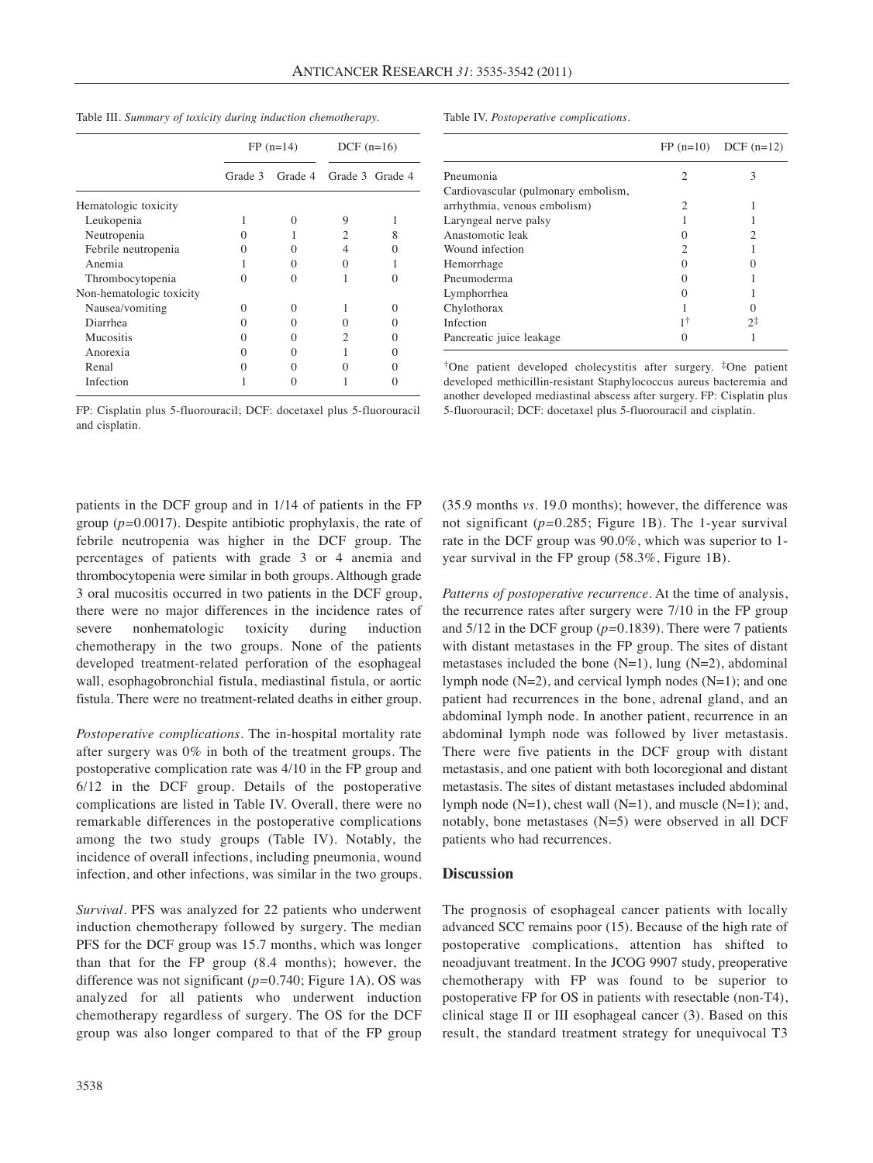|  |  |  |  |  | Table III. Summary of toxicity during induction chemotherapy. |
|--|--|--|--|--|---------------------------------------------------------------|
|--|--|--|--|--|---------------------------------------------------------------|

Table IV. *Postoperative complications.*

|                          | $FP(n=14)$ |         | $DCF (n=16)$ |                 |
|--------------------------|------------|---------|--------------|-----------------|
|                          | Grade 3    | Grade 4 |              | Grade 3 Grade 4 |
| Hematologic toxicity     |            |         |              |                 |
| Leukopenia               |            |         | 9            |                 |
| Neutropenia              |            |         | 2            | 8               |
| Febrile neutropenia      | 0          |         | 4            |                 |
| Anemia                   |            |         | 0            |                 |
| Thrombocytopenia         | 0          |         |              |                 |
| Non-hematologic toxicity |            |         |              |                 |
| Nausea/vomiting          | 0          |         |              | $\Omega$        |
| Diarrhea                 |            |         |              |                 |
| Mucositis                |            |         | 2            |                 |
| Anorexia                 |            |         |              | 0               |
| Renal                    |            |         |              |                 |
| Infection                |            |         |              |                 |

FP: Cisplatin plus 5-fluorouracil; DCF: docetaxel plus 5-fluorouracil and cisplatin.

patients in the DCF group and in 1/14 of patients in the FP group (*p=*0.0017). Despite antibiotic prophylaxis, the rate of febrile neutropenia was higher in the DCF group. The percentages of patients with grade 3 or 4 anemia and thrombocytopenia were similar in both groups. Although grade 3 oral mucositis occurred in two patients in the DCF group, there were no major differences in the incidence rates of severe nonhematologic toxicity during induction chemotherapy in the two groups. None of the patients developed treatment-related perforation of the esophageal wall, esophagobronchial fistula, mediastinal fistula, or aortic fistula. There were no treatment-related deaths in either group.

*Postoperative complications.* The in-hospital mortality rate after surgery was 0% in both of the treatment groups. The postoperative complication rate was 4/10 in the FP group and 6/12 in the DCF group. Details of the postoperative complications are listed in Table IV. Overall, there were no remarkable differences in the postoperative complications among the two study groups (Table IV). Notably, the incidence of overall infections, including pneumonia, wound infection, and other infections, was similar in the two groups.

*Survival.* PFS was analyzed for 22 patients who underwent induction chemotherapy followed by surgery. The median PFS for the DCF group was 15.7 months, which was longer than that for the FP group (8.4 months); however, the difference was not significant (*p=*0.740; Figure 1A). OS was analyzed for all patients who underwent induction chemotherapy regardless of surgery. The OS for the DCF group was also longer compared to that of the FP group

|                                     |   | $FP (n=10)$ DCF $(n=12)$ |
|-------------------------------------|---|--------------------------|
| Pneumonia                           | 2 | 3                        |
| Cardiovascular (pulmonary embolism, |   |                          |
| arrhythmia, venous embolism)        | 2 |                          |
| Laryngeal nerve palsy               |   |                          |
| Anastomotic leak                    |   |                          |
| Wound infection                     | 2 |                          |
| Hemorrhage                          |   |                          |
| Pneumoderma                         |   |                          |
| Lymphorrhea                         |   |                          |
| Chylothorax                         |   |                          |
| Infection                           |   | つま                       |
| Pancreatic juice leakage            |   |                          |
|                                     |   |                          |

†One patient developed cholecystitis after surgery. ‡One patient developed methicillin-resistant Staphylococcus aureus bacteremia and another developed mediastinal abscess after surgery. FP: Cisplatin plus 5-fluorouracil; DCF: docetaxel plus 5-fluorouracil and cisplatin.

(35.9 months *vs.* 19.0 months); however, the difference was not significant (*p=*0.285; Figure 1B). The 1-year survival rate in the DCF group was 90.0%, which was superior to 1 year survival in the FP group (58.3%, Figure 1B).

*Patterns of postoperative recurrence.* At the time of analysis, the recurrence rates after surgery were 7/10 in the FP group and 5/12 in the DCF group (*p=*0.1839). There were 7 patients with distant metastases in the FP group. The sites of distant metastases included the bone  $(N=1)$ , lung  $(N=2)$ , abdominal lymph node  $(N=2)$ , and cervical lymph nodes  $(N=1)$ ; and one patient had recurrences in the bone, adrenal gland, and an abdominal lymph node. In another patient, recurrence in an abdominal lymph node was followed by liver metastasis. There were five patients in the DCF group with distant metastasis, and one patient with both locoregional and distant metastasis. The sites of distant metastases included abdominal lymph node (N=1), chest wall (N=1), and muscle (N=1); and, notably, bone metastases (N=5) were observed in all DCF patients who had recurrences.

#### **Discussion**

The prognosis of esophageal cancer patients with locally advanced SCC remains poor (15). Because of the high rate of postoperative complications, attention has shifted to neoadjuvant treatment. In the JCOG 9907 study, preoperative chemotherapy with FP was found to be superior to postoperative FP for OS in patients with resectable (non-T4), clinical stage II or III esophageal cancer (3). Based on this result, the standard treatment strategy for unequivocal T3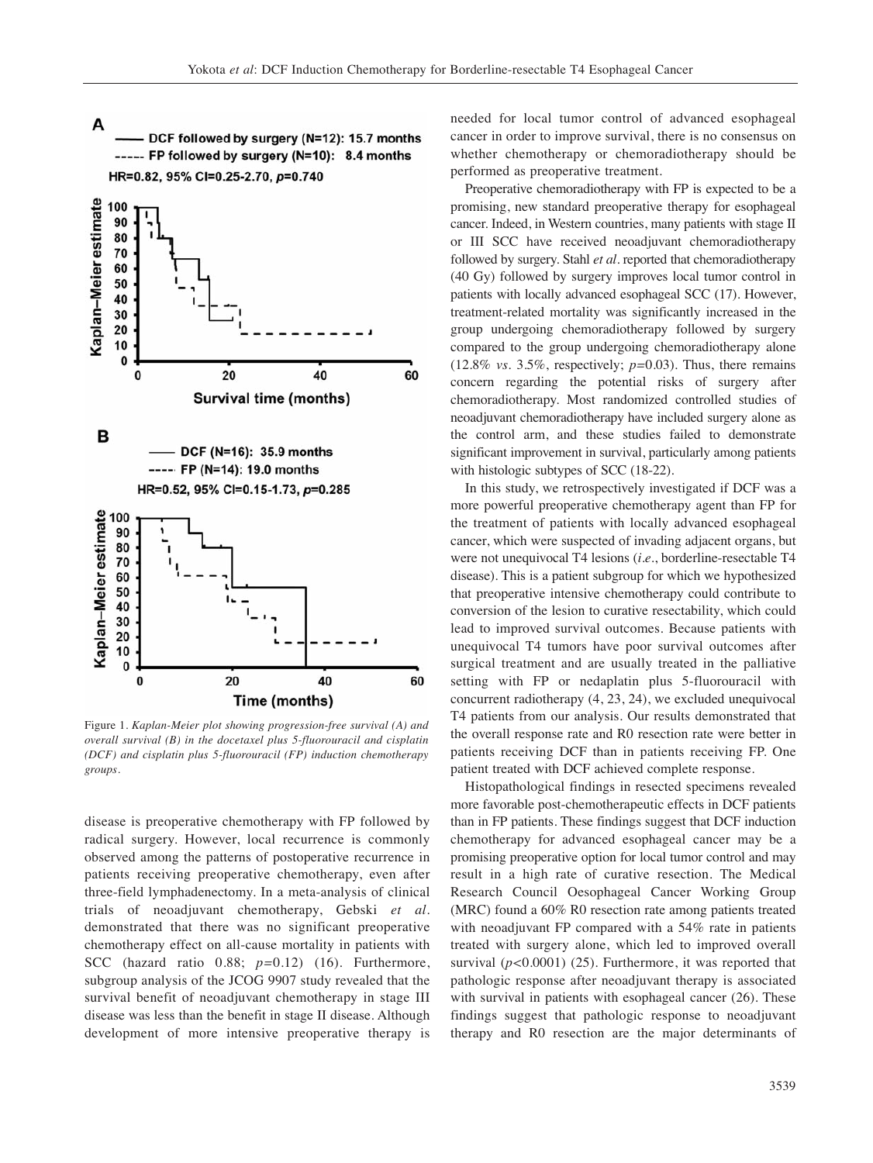A DCF followed by surgery (N=12): 15.7 months ----- FP followed by surgery (N=10): 8.4 months HR=0.82, 95% CI=0.25-2.70, p=0.740



Figure 1. *Kaplan-Meier plot showing progression-free survival (A) and overall survival (B) in the docetaxel plus 5-fluorouracil and cisplatin (DCF) and cisplatin plus 5-fluorouracil (FP) induction chemotherapy groups.*

disease is preoperative chemotherapy with FP followed by radical surgery. However, local recurrence is commonly observed among the patterns of postoperative recurrence in patients receiving preoperative chemotherapy, even after three-field lymphadenectomy. In a meta-analysis of clinical trials of neoadjuvant chemotherapy, Gebski *et al.* demonstrated that there was no significant preoperative chemotherapy effect on all-cause mortality in patients with SCC (hazard ratio 0.88; *p=*0.12) (16). Furthermore, subgroup analysis of the JCOG 9907 study revealed that the survival benefit of neoadjuvant chemotherapy in stage III disease was less than the benefit in stage II disease. Although development of more intensive preoperative therapy is

needed for local tumor control of advanced esophageal cancer in order to improve survival, there is no consensus on whether chemotherapy or chemoradiotherapy should be performed as preoperative treatment.

Preoperative chemoradiotherapy with FP is expected to be a promising, new standard preoperative therapy for esophageal cancer. Indeed, in Western countries, many patients with stage II or III SCC have received neoadjuvant chemoradiotherapy followed by surgery. Stahl *et al.* reported that chemoradiotherapy (40 Gy) followed by surgery improves local tumor control in patients with locally advanced esophageal SCC (17). However, treatment-related mortality was significantly increased in the group undergoing chemoradiotherapy followed by surgery compared to the group undergoing chemoradiotherapy alone (12.8% *vs.* 3.5%, respectively; *p=*0.03). Thus, there remains concern regarding the potential risks of surgery after chemoradiotherapy. Most randomized controlled studies of neoadjuvant chemoradiotherapy have included surgery alone as the control arm, and these studies failed to demonstrate significant improvement in survival, particularly among patients with histologic subtypes of SCC (18-22).

In this study, we retrospectively investigated if DCF was a more powerful preoperative chemotherapy agent than FP for the treatment of patients with locally advanced esophageal cancer, which were suspected of invading adjacent organs, but were not unequivocal T4 lesions (*i.e.*, borderline-resectable T4 disease). This is a patient subgroup for which we hypothesized that preoperative intensive chemotherapy could contribute to conversion of the lesion to curative resectability, which could lead to improved survival outcomes. Because patients with unequivocal T4 tumors have poor survival outcomes after surgical treatment and are usually treated in the palliative setting with FP or nedaplatin plus 5-fluorouracil with concurrent radiotherapy (4, 23, 24), we excluded unequivocal T4 patients from our analysis. Our results demonstrated that the overall response rate and R0 resection rate were better in patients receiving DCF than in patients receiving FP. One patient treated with DCF achieved complete response.

Histopathological findings in resected specimens revealed more favorable post-chemotherapeutic effects in DCF patients than in FP patients. These findings suggest that DCF induction chemotherapy for advanced esophageal cancer may be a promising preoperative option for local tumor control and may result in a high rate of curative resection. The Medical Research Council Oesophageal Cancer Working Group (MRC) found a 60% R0 resection rate among patients treated with neoadjuvant FP compared with a 54% rate in patients treated with surgery alone, which led to improved overall survival (*p<*0.0001) (25). Furthermore, it was reported that pathologic response after neoadjuvant therapy is associated with survival in patients with esophageal cancer (26). These findings suggest that pathologic response to neoadjuvant therapy and R0 resection are the major determinants of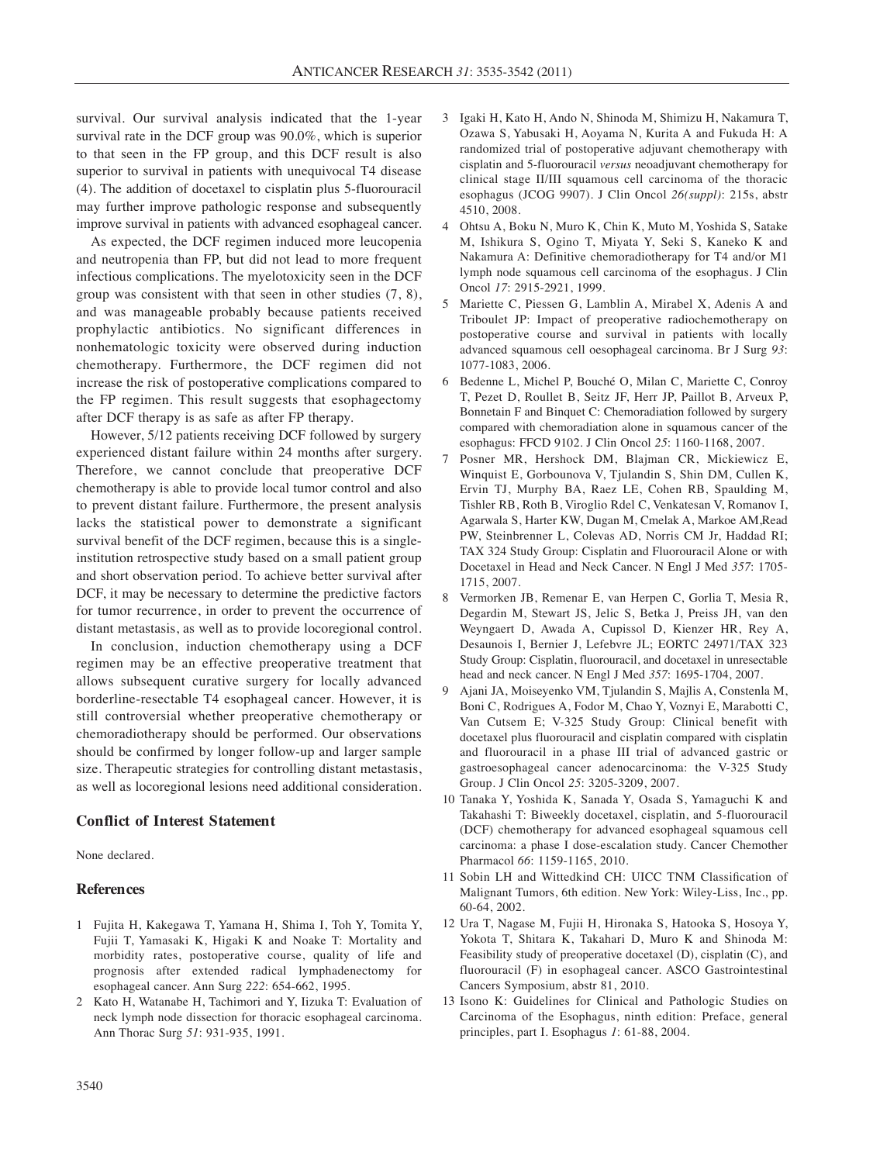survival. Our survival analysis indicated that the 1-year survival rate in the DCF group was 90.0%, which is superior to that seen in the FP group, and this DCF result is also superior to survival in patients with unequivocal T4 disease (4). The addition of docetaxel to cisplatin plus 5-fluorouracil may further improve pathologic response and subsequently improve survival in patients with advanced esophageal cancer.

As expected, the DCF regimen induced more leucopenia and neutropenia than FP, but did not lead to more frequent infectious complications. The myelotoxicity seen in the DCF group was consistent with that seen in other studies (7, 8), and was manageable probably because patients received prophylactic antibiotics. No significant differences in nonhematologic toxicity were observed during induction chemotherapy. Furthermore, the DCF regimen did not increase the risk of postoperative complications compared to the FP regimen. This result suggests that esophagectomy after DCF therapy is as safe as after FP therapy.

However, 5/12 patients receiving DCF followed by surgery experienced distant failure within 24 months after surgery. Therefore, we cannot conclude that preoperative DCF chemotherapy is able to provide local tumor control and also to prevent distant failure. Furthermore, the present analysis lacks the statistical power to demonstrate a significant survival benefit of the DCF regimen, because this is a singleinstitution retrospective study based on a small patient group and short observation period. To achieve better survival after DCF, it may be necessary to determine the predictive factors for tumor recurrence, in order to prevent the occurrence of distant metastasis, as well as to provide locoregional control.

In conclusion, induction chemotherapy using a DCF regimen may be an effective preoperative treatment that allows subsequent curative surgery for locally advanced borderline-resectable T4 esophageal cancer. However, it is still controversial whether preoperative chemotherapy or chemoradiotherapy should be performed. Our observations should be confirmed by longer follow-up and larger sample size. Therapeutic strategies for controlling distant metastasis, as well as locoregional lesions need additional consideration.

### **Conflict of Interest Statement**

None declared.

#### **References**

- 1 Fujita H, Kakegawa T, Yamana H, Shima I, Toh Y, Tomita Y, Fujii T, Yamasaki K, Higaki K and Noake T: Mortality and morbidity rates, postoperative course, quality of life and prognosis after extended radical lymphadenectomy for esophageal cancer. Ann Surg *222*: 654-662, 1995.
- 2 Kato H, Watanabe H, Tachimori and Y, Iizuka T: Evaluation of neck lymph node dissection for thoracic esophageal carcinoma. Ann Thorac Surg *51*: 931-935, 1991.
- 3 Igaki H, Kato H, Ando N, Shinoda M, Shimizu H, Nakamura T, Ozawa S, Yabusaki H, Aoyama N, Kurita A and Fukuda H: A randomized trial of postoperative adjuvant chemotherapy with cisplatin and 5-fluorouracil *versus* neoadjuvant chemotherapy for clinical stage II/III squamous cell carcinoma of the thoracic esophagus (JCOG 9907). J Clin Oncol *26(suppl)*: 215s, abstr 4510, 2008.
- 4 Ohtsu A, Boku N, Muro K, Chin K, Muto M, Yoshida S, Satake M, Ishikura S, Ogino T, Miyata Y, Seki S, Kaneko K and Nakamura A: Definitive chemoradiotherapy for T4 and/or M1 lymph node squamous cell carcinoma of the esophagus. J Clin Oncol *17*: 2915-2921, 1999.
- 5 Mariette C, Piessen G, Lamblin A, Mirabel X, Adenis A and Triboulet JP: Impact of preoperative radiochemotherapy on postoperative course and survival in patients with locally advanced squamous cell oesophageal carcinoma. Br J Surg *93*: 1077-1083, 2006.
- 6 Bedenne L, Michel P, Bouché O, Milan C, Mariette C, Conroy T, Pezet D, Roullet B, Seitz JF, Herr JP, Paillot B, Arveux P, Bonnetain F and Binquet C: Chemoradiation followed by surgery compared with chemoradiation alone in squamous cancer of the esophagus: FFCD 9102. J Clin Oncol *25*: 1160-1168, 2007.
- 7 Posner MR, Hershock DM, Blajman CR, Mickiewicz E, Winquist E, Gorbounova V, Tjulandin S, Shin DM, Cullen K, Ervin TJ, Murphy BA, Raez LE, Cohen RB, Spaulding M, Tishler RB, Roth B, Viroglio Rdel C, Venkatesan V, Romanov I, Agarwala S, Harter KW, Dugan M, Cmelak A, Markoe AM,Read PW, Steinbrenner L, Colevas AD, Norris CM Jr, Haddad RI; TAX 324 Study Group: Cisplatin and Fluorouracil Alone or with Docetaxel in Head and Neck Cancer. N Engl J Med *357*: 1705- 1715, 2007.
- 8 Vermorken JB, Remenar E, van Herpen C, Gorlia T, Mesia R, Degardin M, Stewart JS, Jelic S, Betka J, Preiss JH, van den Weyngaert D, Awada A, Cupissol D, Kienzer HR, Rey A, Desaunois I, Bernier J, Lefebvre JL; EORTC 24971/TAX 323 Study Group: Cisplatin, fluorouracil, and docetaxel in unresectable head and neck cancer. N Engl J Med *357*: 1695-1704, 2007.
- 9 Ajani JA, Moiseyenko VM, Tjulandin S, Majlis A, Constenla M, Boni C, Rodrigues A, Fodor M, Chao Y, Voznyi E, Marabotti C, Van Cutsem E; V-325 Study Group: Clinical benefit with docetaxel plus fluorouracil and cisplatin compared with cisplatin and fluorouracil in a phase III trial of advanced gastric or gastroesophageal cancer adenocarcinoma: the V-325 Study Group. J Clin Oncol *25*: 3205-3209, 2007.
- 10 Tanaka Y, Yoshida K, Sanada Y, Osada S, Yamaguchi K and Takahashi T: Biweekly docetaxel, cisplatin, and 5-fluorouracil (DCF) chemotherapy for advanced esophageal squamous cell carcinoma: a phase I dose-escalation study. Cancer Chemother Pharmacol *66*: 1159-1165, 2010.
- 11 Sobin LH and Wittedkind CH: UICC TNM Classification of Malignant Tumors, 6th edition. New York: Wiley-Liss, Inc., pp. 60-64, 2002.
- 12 Ura T, Nagase M, Fujii H, Hironaka S, Hatooka S, Hosoya Y, Yokota T, Shitara K, Takahari D, Muro K and Shinoda M: Feasibility study of preoperative docetaxel (D), cisplatin (C), and fluorouracil (F) in esophageal cancer. ASCO Gastrointestinal Cancers Symposium, abstr 81, 2010.
- 13 Isono K: Guidelines for Clinical and Pathologic Studies on Carcinoma of the Esophagus, ninth edition: Preface, general principles, part I. Esophagus *1*: 61-88, 2004.